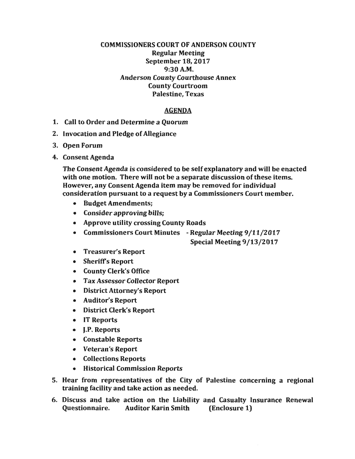## COMMISSIONERS COURT OF ANDERSON COUNTY Regular Meeting September 18, 2017 9:30A.M. Anderson County Courthouse Annex County Courtroom Palestine, Texas

## AGENDA

- 1. Call to Order and Determine a Quorum
- 2. Invocation and Pledge of Allegiance
- 3. Open Forum
- 4. Consent Agenda

The Consent Agenda is considered to be self explanatory and will be enacted with one motion. There will not be a separate discussion of these items. However, any Consent Agenda item may be removed for individual consideration pursuant to a request by a Commissioners Court member.

- Budget Amendments;
- Consider approving bills;
- Approve utility crossing County Roads
- Commissioners Court Minutes Regular Meeting 9/11/2017

Special Meeting 9/13/2017

- Treasurer's Report
- Sheriffs Report
- County Clerk's Office
- Tax Assessor Collector Report
- District Attorney's Report
- Auditor's Report
- District Clerk's Report
- IT Reports
- J.P. Reports
- Constable Reports
- Veteran's Report
- Collections Reports
- Historical Commission Reports
- 5. Hear from representatives of the City of Palestine concerning a regional training facility and take action as needed.
- 6. Discuss and take action on the Liability and Casualty Insurance Renewal Questionnaire. Auditor Karin Smith (Enclosure 1)